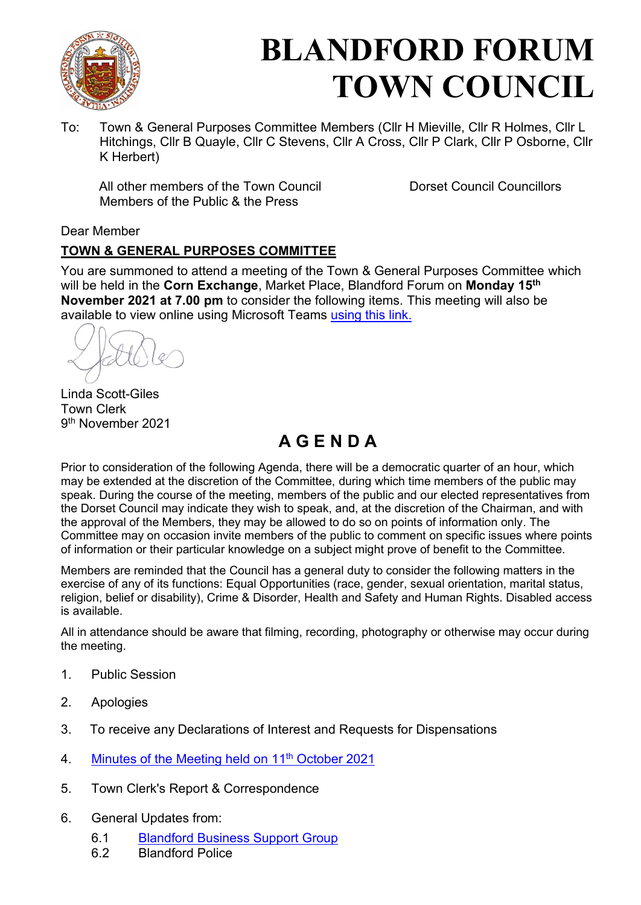

# **BLANDFORD FORUM TOWN COUNCIL**

To: Town & General Purposes Committee Members (Cllr H Mieville, Cllr R Holmes, Cllr L Hitchings, Cllr B Quayle, Cllr C Stevens, Cllr A Cross, Cllr P Clark, Cllr P Osborne, Cllr K Herbert)

All other members of the Town Council Dorset Council Councillors Members of the Public & the Press

### Dear Member

### **TOWN & GENERAL PURPOSES COMMITTEE**

You are summoned to attend a meeting of the Town & General Purposes Committee which will be held in the **Corn Exchange**, Market Place, Blandford Forum on **Monday 15th November 2021 at 7.00 pm** to consider the following items. This meeting will also be available to view online using Microsoft Teams [using this link.](https://teams.microsoft.com/l/meetup-join/19%3a2cb1b1f9de074efdad40308940ab9ba0%40thread.tacv2/1627296699600?context=%7b%22Tid%22%3a%223cd8f2fb-4c45-4162-86f1-fb87b5f6a138%22%2c%22Oid%22%3a%2265e5950c-ab1c-41cc-9090-4a755c733f54%22%7d)

Linda Scott-Giles Town Clerk 9 th November 2021

# **A G E N D A**

Prior to consideration of the following Agenda, there will be a democratic quarter of an hour, which may be extended at the discretion of the Committee, during which time members of the public may speak. During the course of the meeting, members of the public and our elected representatives from the Dorset Council may indicate they wish to speak, and, at the discretion of the Chairman, and with the approval of the Members, they may be allowed to do so on points of information only. The Committee may on occasion invite members of the public to comment on specific issues where points of information or their particular knowledge on a subject might prove of benefit to the Committee.

Members are reminded that the Council has a general duty to consider the following matters in the exercise of any of its functions: Equal Opportunities (race, gender, sexual orientation, marital status, religion, belief or disability), Crime & Disorder, Health and Safety and Human Rights. Disabled access is available.

All in attendance should be aware that filming, recording, photography or otherwise may occur during the meeting.

- 1. Public Session
- 2. Apologies
- 3. To receive any Declarations of Interest and Requests for Dispensations
- 4. [Minutes of the Meeting held on 11](https://blandfordforum-tc.gov.uk/wp-content/uploads/2021/10/111021.pdf)<sup>th</sup> October 2021
- 5. Town Clerk's Report & Correspondence
- 6. General Updates from:
	- 6.1 Blandford Business Support Group<br>6.2 Blandford Police
	- **Blandford Police**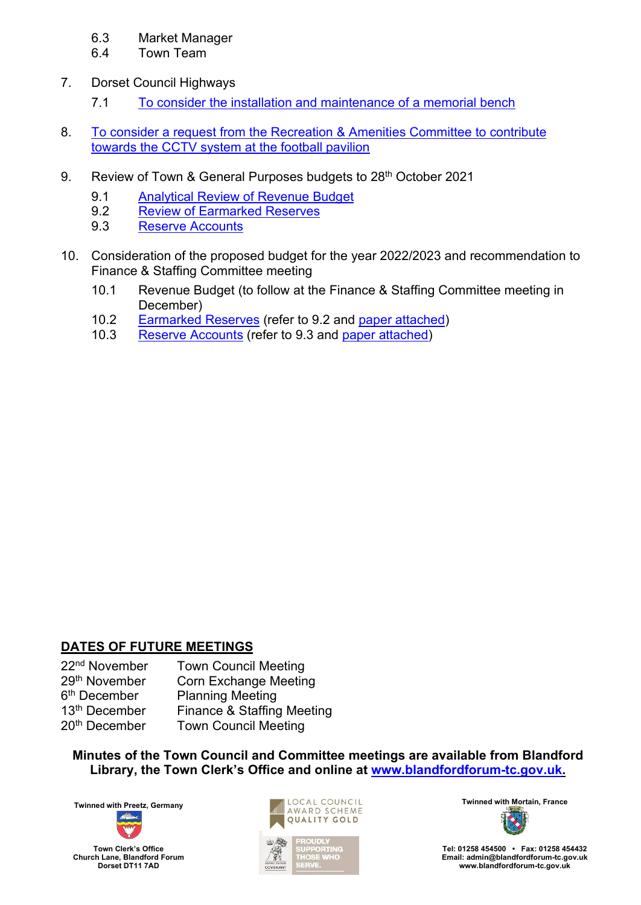### 6.3 Market Manager

- 6.4 Town Team
- 7. Dorset Council Highways
	- 7.1 [To consider the installation and maintenance of a memorial bench](#page-3-0)
- 8. [To consider a request from the Recreation & Amenities Committee to contribute](#page-4-0)  [towards the CCTV system at the football pavilion](#page-4-0)
- 9. [Review of Town & General Purposes budgets to 28](#page-6-0)<sup>th</sup> October 2021
	- [9.1 Analytical Review of Revenue Budget](#page-6-0)
	- 9.2 [Review of Earmarked Reserves](#page-8-0)
	- 9.3 [Reserve Accounts](#page-9-0)
- 10. Consideration of the proposed budget for the year 2022/2023 and recommendation to Finance & Staffing Committee meeting
	- 10.1 Revenue Budget (to follow at the Finance & Staffing Committee meeting in December)
	- 10.2 [Earmarked Reserves](#page-10-0) (refer to 9.2 and [paper attached\)](#page-10-0)
	- 10.3 [Reserve Accounts](#page-10-0) (refer to 9.3 and [paper attached\)](#page-10-0)

### **DATES OF FUTURE MEETINGS**

| <b>Town Council Meeting</b>  |
|------------------------------|
| <b>Corn Exchange Meeting</b> |
| <b>Planning Meeting</b>      |
| Finance & Staffing Meeting   |
| <b>Town Council Meeting</b>  |
|                              |

**Minutes of the Town Council and Committee meetings are available from Blandford Library, the Town Clerk's Office and online at [www.blandfordforum-tc.gov.uk.](http://www.blandfordforum-tc.gov.uk/)** 





**Tel: 01258 454500 • Fax: 01258 454432 Email: admin@blandfordforum-tc.gov.uk [www.blandfordforum-tc.gov.uk](http://www.blandfordforum-tc.gov.uk/)**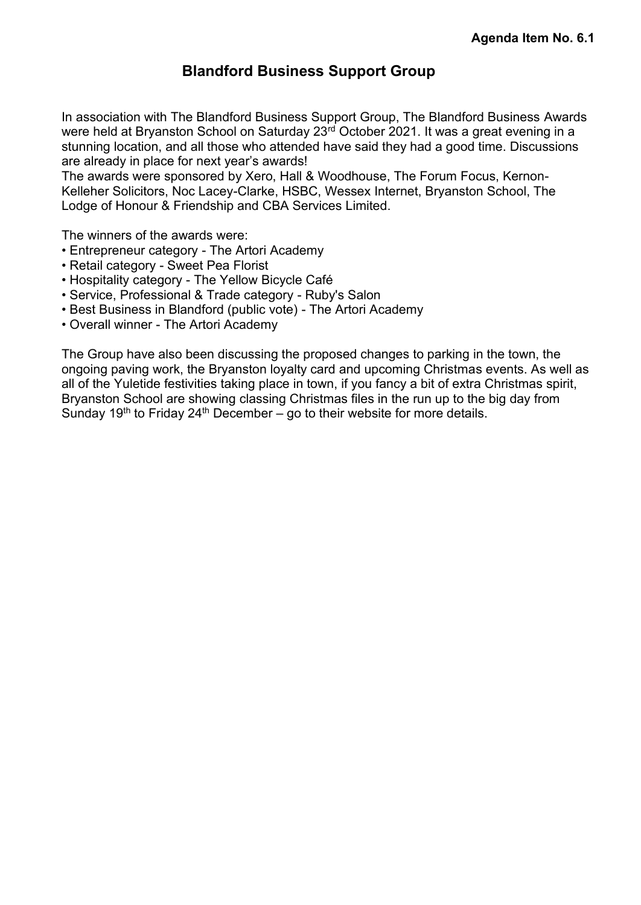# **Blandford Business Support Group**

<span id="page-2-0"></span>In association with The Blandford Business Support Group, The Blandford Business Awards were held at Bryanston School on Saturday 23rd October 2021. It was a great evening in a stunning location, and all those who attended have said they had a good time. Discussions are already in place for next year's awards!

The awards were sponsored by Xero, Hall & Woodhouse, The Forum Focus, Kernon-Kelleher Solicitors, Noc Lacey-Clarke, HSBC, Wessex Internet, Bryanston School, The Lodge of Honour & Friendship and CBA Services Limited.

The winners of the awards were:

- Entrepreneur category The Artori Academy
- Retail category Sweet Pea Florist
- Hospitality category The Yellow Bicycle Café
- Service, Professional & Trade category Ruby's Salon
- Best Business in Blandford (public vote) The Artori Academy
- Overall winner The Artori Academy

The Group have also been discussing the proposed changes to parking in the town, the ongoing paving work, the Bryanston loyalty card and upcoming Christmas events. As well as all of the Yuletide festivities taking place in town, if you fancy a bit of extra Christmas spirit, Bryanston School are showing classing Christmas files in the run up to the big day from Sunday 19<sup>th</sup> to Friday 24<sup>th</sup> December – go to their website for more details.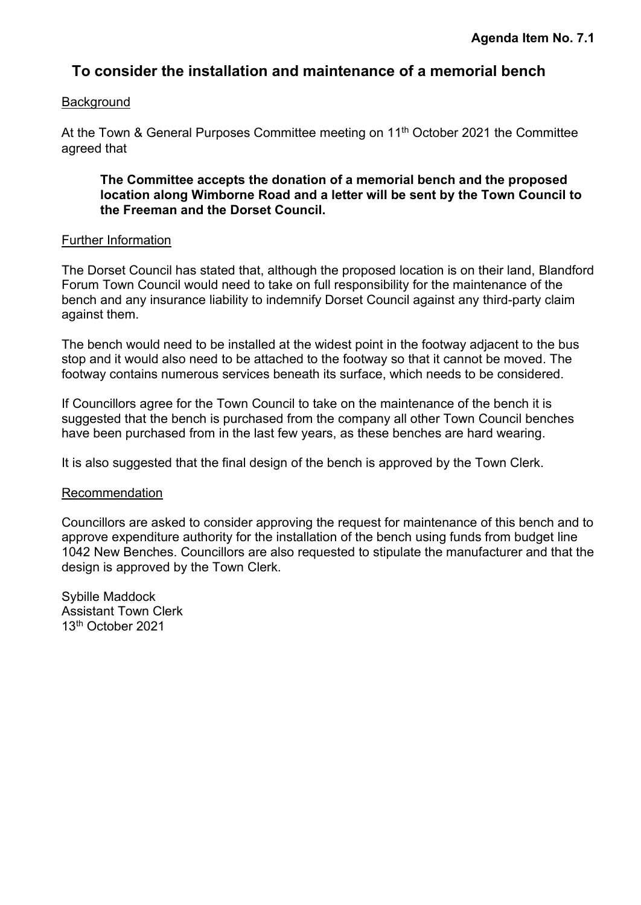# <span id="page-3-0"></span>**To consider the installation and maintenance of a memorial bench**

### **Background**

At the Town & General Purposes Committee meeting on 11<sup>th</sup> October 2021 the Committee agreed that

**The Committee accepts the donation of a memorial bench and the proposed location along Wimborne Road and a letter will be sent by the Town Council to the Freeman and the Dorset Council.**

### Further Information

The Dorset Council has stated that, although the proposed location is on their land, Blandford Forum Town Council would need to take on full responsibility for the maintenance of the bench and any insurance liability to indemnify Dorset Council against any third-party claim against them.

The bench would need to be installed at the widest point in the footway adjacent to the bus stop and it would also need to be attached to the footway so that it cannot be moved. The footway contains numerous services beneath its surface, which needs to be considered.

If Councillors agree for the Town Council to take on the maintenance of the bench it is suggested that the bench is purchased from the company all other Town Council benches have been purchased from in the last few years, as these benches are hard wearing.

It is also suggested that the final design of the bench is approved by the Town Clerk.

### Recommendation

Councillors are asked to consider approving the request for maintenance of this bench and to approve expenditure authority for the installation of the bench using funds from budget line 1042 New Benches. Councillors are also requested to stipulate the manufacturer and that the design is approved by the Town Clerk.

Sybille Maddock Assistant Town Clerk 13th October 2021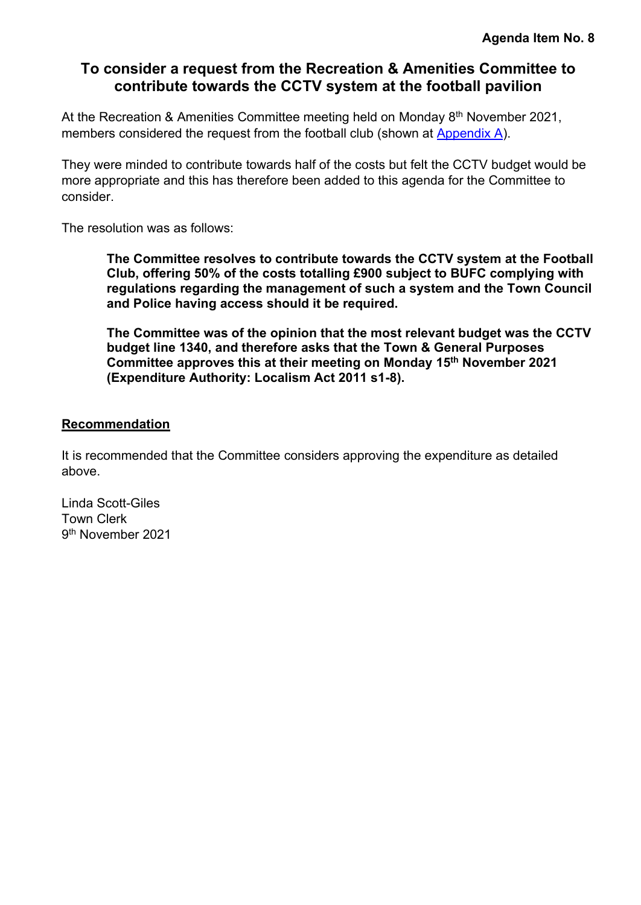# <span id="page-4-0"></span>**To consider a request from the Recreation & Amenities Committee to contribute towards the CCTV system at the football pavilion**

At the Recreation & Amenities Committee meeting held on Monday 8<sup>th</sup> November 2021, members considered the request from the football club (shown at [Appendix A\)](#page-5-0).

They were minded to contribute towards half of the costs but felt the CCTV budget would be more appropriate and this has therefore been added to this agenda for the Committee to consider.

The resolution was as follows:

**The Committee resolves to contribute towards the CCTV system at the Football Club, offering 50% of the costs totalling £900 subject to BUFC complying with regulations regarding the management of such a system and the Town Council and Police having access should it be required.** 

**The Committee was of the opinion that the most relevant budget was the CCTV budget line 1340, and therefore asks that the Town & General Purposes Committee approves this at their meeting on Monday 15th November 2021 (Expenditure Authority: Localism Act 2011 s1-8).** 

### **Recommendation**

It is recommended that the Committee considers approving the expenditure as detailed above.

Linda Scott-Giles Town Clerk 9<sup>th</sup> November 2021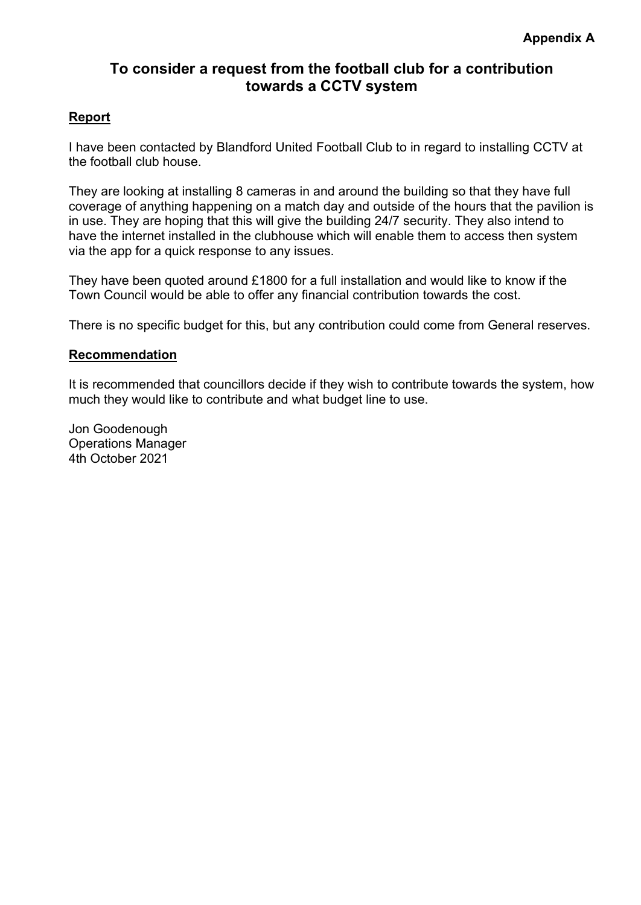# **To consider a request from the football club for a contribution towards a CCTV system**

### <span id="page-5-0"></span>**Report**

I have been contacted by Blandford United Football Club to in regard to installing CCTV at the football club house.

They are looking at installing 8 cameras in and around the building so that they have full coverage of anything happening on a match day and outside of the hours that the pavilion is in use. They are hoping that this will give the building 24/7 security. They also intend to have the internet installed in the clubhouse which will enable them to access then system via the app for a quick response to any issues.

They have been quoted around £1800 for a full installation and would like to know if the Town Council would be able to offer any financial contribution towards the cost.

There is no specific budget for this, but any contribution could come from General reserves.

### **Recommendation**

It is recommended that councillors decide if they wish to contribute towards the system, how much they would like to contribute and what budget line to use.

Jon Goodenough Operations Manager 4th October 2021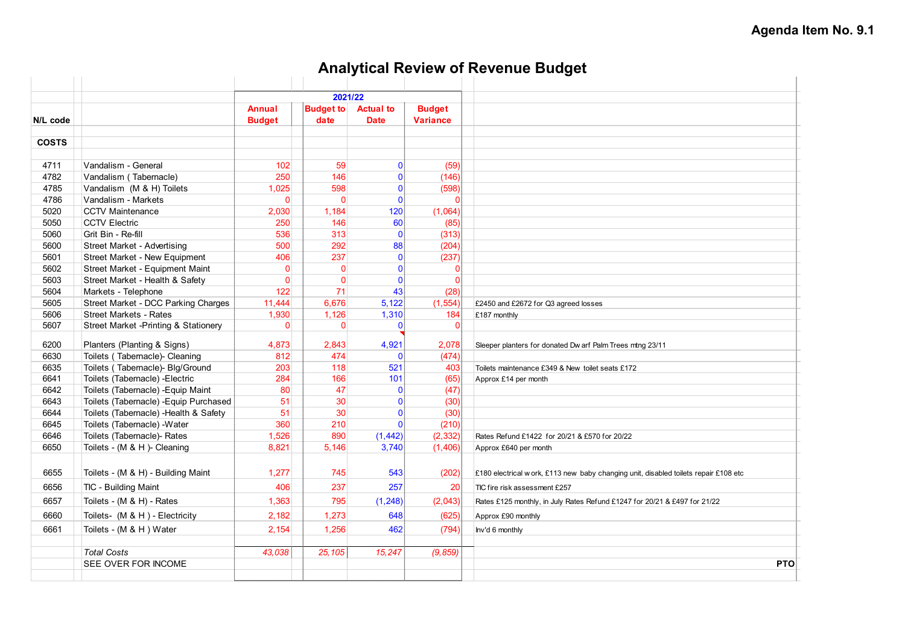# **Analytical Review of Revenue Budget**

<span id="page-6-0"></span>

|              |                                                                              | 2021/22                        |                          |                                 |                                  |                                                                                      |
|--------------|------------------------------------------------------------------------------|--------------------------------|--------------------------|---------------------------------|----------------------------------|--------------------------------------------------------------------------------------|
| N/L code     |                                                                              | <b>Annual</b><br><b>Budget</b> | <b>Budget to</b><br>date | <b>Actual to</b><br><b>Date</b> | <b>Budget</b><br><b>Variance</b> |                                                                                      |
|              |                                                                              |                                |                          |                                 |                                  |                                                                                      |
| <b>COSTS</b> |                                                                              |                                |                          |                                 |                                  |                                                                                      |
|              |                                                                              |                                |                          |                                 |                                  |                                                                                      |
| 4711         | Vandalism - General                                                          | 102                            | 59                       | $\mathbf{0}$                    | (59)                             |                                                                                      |
| 4782         | Vandalism (Tabernacle)                                                       | 250                            | 146                      | $\mathbf{0}$                    | (146)                            |                                                                                      |
| 4785         | Vandalism (M & H) Toilets                                                    | 1,025                          | 598                      | $\mathbf{0}$                    | (598)                            |                                                                                      |
| 4786         | Vandalism - Markets                                                          | $\overline{0}$                 | $\mathbf{0}$             | $\mathbf{0}$                    | $\Omega$                         |                                                                                      |
| 5020<br>5050 | <b>CCTV Maintenance</b><br><b>CCTV Electric</b>                              | 2,030<br>250                   | 1.184<br>146             | 120<br>60                       | (1,064)<br>(85)                  |                                                                                      |
| 5060         |                                                                              | 536                            | 313                      | $\mathbf{0}$                    | (313)                            |                                                                                      |
| 5600         | Grit Bin - Re-fill<br>Street Market - Advertising                            | 500                            | 292                      | 88                              | (204)                            |                                                                                      |
| 5601         | Street Market - New Equipment                                                | 406                            | 237                      | $\mathbf{0}$                    | (237)                            |                                                                                      |
| 5602         | Street Market - Equipment Maint                                              | $\overline{0}$                 | $\mathbf{0}$             | $\mathbf{0}$                    | $\mathbf{0}$                     |                                                                                      |
| 5603         | Street Market - Health & Safety                                              | $\overline{0}$                 | $\Omega$                 | $\mathbf{0}$                    | $\Omega$                         |                                                                                      |
| 5604         | Markets - Telephone                                                          | 122                            | 71                       | 43                              | (28)                             |                                                                                      |
| 5605         | Street Market - DCC Parking Charges                                          | 11,444                         | 6,676                    | 5,122                           | (1, 554)                         | £2450 and £2672 for Q3 agreed losses                                                 |
| 5606         | <b>Street Markets - Rates</b>                                                | 1,930                          | 1,126                    | 1,310                           | 184                              | £187 monthly                                                                         |
| 5607         | Street Market -Printing & Stationery                                         | $\overline{0}$                 | $\Omega$                 | $\mathbf{0}$                    | $\Omega$                         |                                                                                      |
|              |                                                                              |                                |                          |                                 |                                  |                                                                                      |
| 6200         | Planters (Planting & Signs)                                                  | 4,873                          | 2,843                    | 4,921                           | 2,078                            | Sleeper planters for donated Dw arf Palm Trees mtng 23/11                            |
| 6630         | Toilets (Tabernacle)- Cleaning                                               | 812                            | 474                      | $\Omega$<br>521                 | (474)                            |                                                                                      |
| 6635         | Toilets (Tabernacle)- Blg/Ground                                             | 203                            | 118                      |                                 | 403                              | Toilets maintenance £349 & New toilet seats £172                                     |
| 6641         | Toilets (Tabernacle) - Electric                                              | 284                            | 166                      | 101                             | (65)                             | Approx £14 per month                                                                 |
| 6642<br>6643 | Toilets (Tabernacle) - Equip Maint<br>Toilets (Tabernacle) - Equip Purchased | 80                             | 47<br>30                 | 0 <br>$\mathbf{0}$              | (47)                             |                                                                                      |
| 6644         | Toilets (Tabernacle) - Health & Safety                                       | 51<br>51                       | 30                       | $\mathbf{0}$                    | (30)<br>(30)                     |                                                                                      |
| 6645         | Toilets (Tabernacle) - Water                                                 | 360                            | 210                      | $\Omega$                        | (210)                            |                                                                                      |
| 6646         | Toilets (Tabernacle)- Rates                                                  | 1,526                          | 890                      | (1, 442)                        | (2, 332)                         |                                                                                      |
| 6650         | Toilets - (M & H )- Cleaning                                                 | 8,821                          | 5,146                    | 3,740                           | (1,406)                          | Rates Refund £1422 for 20/21 & £570 for 20/22<br>Approx £640 per month               |
|              |                                                                              |                                |                          |                                 |                                  |                                                                                      |
| 6655         | Toilets - (M & H) - Building Maint                                           | 1,277                          | 745                      | 543                             | (202)                            | £180 electrical w ork, £113 new baby changing unit, disabled toilets repair £108 etc |
| 6656         | TIC - Building Maint                                                         | 406                            | 237                      | 257                             | 20                               | TIC fire risk assessment £257                                                        |
| 6657         | Toilets - (M & H) - Rates                                                    | 1,363                          | 795                      | (1, 248)                        | (2,043)                          | Rates £125 monthly, in July Rates Refund £1247 for 20/21 & £497 for 21/22            |
| 6660         |                                                                              |                                |                          |                                 |                                  |                                                                                      |
|              | Toilets- (M & H) - Electricity                                               | 2,182                          | 1,273                    | 648                             | (625)                            | Approx £90 monthly                                                                   |
| 6661         | Toilets - (M & H) Water                                                      | 2,154                          | 1,256                    | 462                             | (794)                            | Inv'd 6 monthly                                                                      |
|              | <b>Total Costs</b>                                                           | 43,038                         | 25,105                   | 15,247                          | (9, 859)                         |                                                                                      |
|              | SEE OVER FOR INCOME                                                          |                                |                          |                                 |                                  | <b>PTO</b>                                                                           |
|              |                                                                              |                                |                          |                                 |                                  |                                                                                      |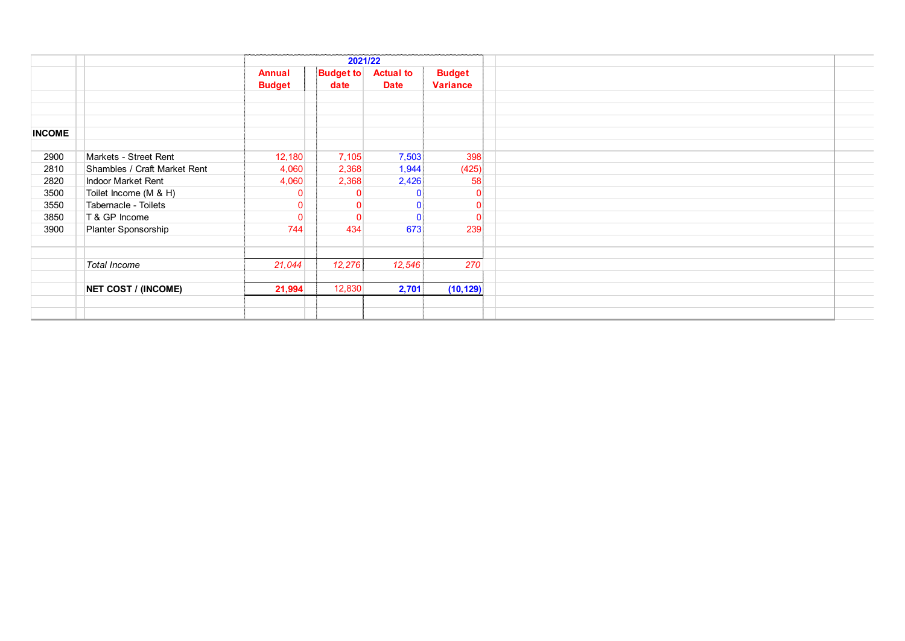|               |                              |                                | 2021/22                  |                                 |                                  |  |  |  |
|---------------|------------------------------|--------------------------------|--------------------------|---------------------------------|----------------------------------|--|--|--|
|               |                              | <b>Annual</b><br><b>Budget</b> | <b>Budget to</b><br>date | <b>Actual to</b><br><b>Date</b> | <b>Budget</b><br><b>Variance</b> |  |  |  |
|               |                              |                                |                          |                                 |                                  |  |  |  |
|               |                              |                                |                          |                                 |                                  |  |  |  |
| <b>INCOME</b> |                              |                                |                          |                                 |                                  |  |  |  |
|               |                              |                                |                          |                                 |                                  |  |  |  |
| 2900          | Markets - Street Rent        | 12,180                         | 7,105                    | 7,503                           | 398                              |  |  |  |
| 2810          | Shambles / Craft Market Rent | 4,060                          | 2,368                    | 1,944                           | (425)                            |  |  |  |
| 2820          | Indoor Market Rent           | 4,060                          | 2,368                    | 2,426                           | 58                               |  |  |  |
| 3500          | Toilet Income (M & H)        | $\overline{0}$                 | $\mathbf{0}$             |                                 |                                  |  |  |  |
| 3550          | Tabernacle - Toilets         | $\overline{0}$                 | $\mathbf{0}$             |                                 |                                  |  |  |  |
| 3850          | T & GP Income                | $\overline{0}$                 | $\Omega$                 |                                 | $\Omega$                         |  |  |  |
| 3900          | Planter Sponsorship          | 744                            | 434                      | 673                             | 239                              |  |  |  |
|               |                              |                                |                          |                                 |                                  |  |  |  |
|               |                              |                                |                          |                                 |                                  |  |  |  |
|               | <b>Total Income</b>          | 21,044                         | 12,276                   | 12,546                          | 270                              |  |  |  |
|               |                              |                                |                          |                                 |                                  |  |  |  |
|               | <b>NET COST / (INCOME)</b>   | 21,994                         | 12,830                   | 2,701                           | (10, 129)                        |  |  |  |
|               |                              |                                |                          |                                 |                                  |  |  |  |
|               |                              |                                |                          |                                 |                                  |  |  |  |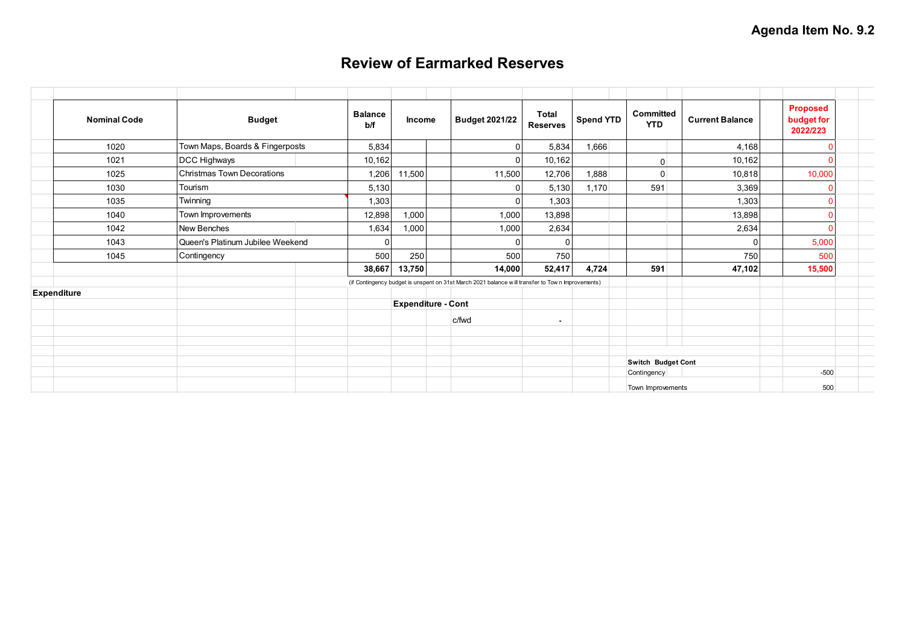# **Review of Earmarked Reserves**

<span id="page-8-0"></span>

| <b>Nominal Code</b> | <b>Budget</b>                     |  | <b>Balance</b><br>b/f     | <b>Income</b> |  | <b>Budget 2021/22</b>                                                                            | <b>Total</b><br><b>Reserves</b> | <b>Spend YTD</b> | Committed<br><b>YTD</b> | <b>Current Balance</b> | <b>Proposed</b><br>budget for<br>2022/223 |  |
|---------------------|-----------------------------------|--|---------------------------|---------------|--|--------------------------------------------------------------------------------------------------|---------------------------------|------------------|-------------------------|------------------------|-------------------------------------------|--|
| 1020                | Town Maps, Boards & Fingerposts   |  | 5,834                     |               |  | $\Omega$                                                                                         | 5,834                           | 1,666            |                         | 4,168                  |                                           |  |
| 1021                | DCC Highways                      |  | 10,162                    |               |  | $\cap$                                                                                           | 10,162                          |                  | $\overline{0}$          | 10,162                 |                                           |  |
| 1025                | <b>Christmas Town Decorations</b> |  | 1,206                     | 11,500        |  | 11,500                                                                                           | 12,706                          | 1,888            | $\overline{0}$          | 10,818                 | 10,000                                    |  |
| 1030                | Tourism                           |  | 5,130                     |               |  |                                                                                                  | 5,130                           | 1,170            | 591                     | 3,369                  |                                           |  |
| 1035                | Twinning                          |  | 1,303                     |               |  | n                                                                                                | 1,303                           |                  |                         | 1,303                  |                                           |  |
| 1040                | Town Improvements                 |  | 12,898                    | 1,000         |  | 1,000                                                                                            | 13,898                          |                  |                         | 13,898                 |                                           |  |
| 1042                | New Benches                       |  | 1,634                     | 000,1         |  | 1,000                                                                                            | 2,634                           |                  |                         | 2,634                  |                                           |  |
| 1043                | Queen's Platinum Jubilee Weekend  |  |                           |               |  | $\Omega$                                                                                         | $\Omega$                        |                  |                         | $\Omega$               | 5,000                                     |  |
| 1045                | Contingency                       |  | 500                       | 250           |  | 500                                                                                              | 750                             |                  |                         | 750                    | 500                                       |  |
|                     |                                   |  | 38,667                    | 13,750        |  | 14,000                                                                                           | 52,417                          | 4,724            | 591                     | 47,102                 | 15,500                                    |  |
|                     |                                   |  |                           |               |  | (if Contingency budget is unspent on 31st March 2021 balance will transfer to Town Improvements) |                                 |                  |                         |                        |                                           |  |
| Expenditure         |                                   |  |                           |               |  |                                                                                                  |                                 |                  |                         |                        |                                           |  |
|                     |                                   |  | <b>Expenditure - Cont</b> |               |  |                                                                                                  |                                 |                  |                         |                        |                                           |  |
|                     |                                   |  |                           |               |  | c/fwd                                                                                            | $\blacksquare$                  |                  |                         |                        |                                           |  |
|                     |                                   |  |                           |               |  |                                                                                                  |                                 |                  |                         |                        |                                           |  |
|                     |                                   |  |                           |               |  |                                                                                                  |                                 |                  |                         |                        |                                           |  |
|                     |                                   |  |                           |               |  |                                                                                                  |                                 |                  | Switch Budget Cont      |                        |                                           |  |
|                     |                                   |  |                           |               |  |                                                                                                  |                                 |                  | Contingency             |                        | $-500$                                    |  |
|                     |                                   |  |                           |               |  |                                                                                                  |                                 |                  | Town Improvements       |                        | 500                                       |  |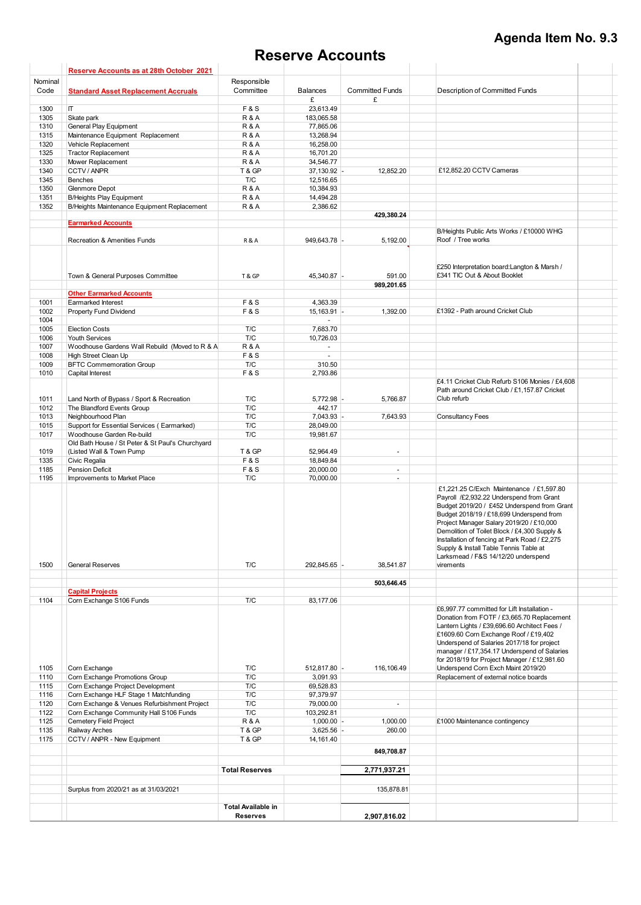# **Agenda Item No. 9.3**

# **Reserve Accounts**

<span id="page-9-0"></span>

|              | Reserve Accounts as at 28th October 2021                                    |                           |                         |                          |                                                                                                                                                                                                                                                                                                                                                                                                               |  |
|--------------|-----------------------------------------------------------------------------|---------------------------|-------------------------|--------------------------|---------------------------------------------------------------------------------------------------------------------------------------------------------------------------------------------------------------------------------------------------------------------------------------------------------------------------------------------------------------------------------------------------------------|--|
| Nominal      |                                                                             | Responsible               |                         |                          |                                                                                                                                                                                                                                                                                                                                                                                                               |  |
| Code         | <b>Standard Asset Replacement Accruals</b>                                  | Committee                 | <b>Balances</b>         | <b>Committed Funds</b>   | Description of Committed Funds                                                                                                                                                                                                                                                                                                                                                                                |  |
|              |                                                                             |                           | £                       | £                        |                                                                                                                                                                                                                                                                                                                                                                                                               |  |
| 1300         | IT.                                                                         | <b>F&amp;S</b>            | 23,613.49               |                          |                                                                                                                                                                                                                                                                                                                                                                                                               |  |
| 1305<br>1310 | Skate park<br>General Play Equipment                                        | R&A<br>R&A                | 183,065.58<br>77,865.06 |                          |                                                                                                                                                                                                                                                                                                                                                                                                               |  |
| 1315         | Maintenance Equipment Replacement                                           | R&A                       | 13,268.94               |                          |                                                                                                                                                                                                                                                                                                                                                                                                               |  |
| 1320         | Vehicle Replacement                                                         | <b>R&amp;A</b>            | 16,258.00               |                          |                                                                                                                                                                                                                                                                                                                                                                                                               |  |
| 1325         | <b>Tractor Replacement</b>                                                  | <b>R&amp;A</b>            | 16,701.20               |                          |                                                                                                                                                                                                                                                                                                                                                                                                               |  |
| 1330         | Mower Replacement                                                           | <b>R&amp;A</b>            | 34,546.77               |                          |                                                                                                                                                                                                                                                                                                                                                                                                               |  |
| 1340         | CCTV / ANPR                                                                 | T & GP                    | 37,130.92 -             | 12,852.20                | £12,852.20 CCTV Cameras                                                                                                                                                                                                                                                                                                                                                                                       |  |
| 1345         | Benches                                                                     | T/C                       | 12,516.65               |                          |                                                                                                                                                                                                                                                                                                                                                                                                               |  |
| 1350         | Glenmore Depot                                                              | <b>R&amp;A</b>            | 10,384.93               |                          |                                                                                                                                                                                                                                                                                                                                                                                                               |  |
| 1351         | <b>B/Heights Play Equipment</b>                                             | <b>R&amp;A</b>            | 14,494.28               |                          |                                                                                                                                                                                                                                                                                                                                                                                                               |  |
| 1352         | B/Heights Maintenance Equipment Replacement                                 | R&A                       | 2,386.62                |                          |                                                                                                                                                                                                                                                                                                                                                                                                               |  |
|              | <b>Earmarked Accounts</b>                                                   |                           |                         | 429,380.24               |                                                                                                                                                                                                                                                                                                                                                                                                               |  |
|              |                                                                             |                           |                         |                          | B/Heights Public Arts Works / £10000 WHG                                                                                                                                                                                                                                                                                                                                                                      |  |
|              | Recreation & Amenities Funds                                                | <b>R&amp;A</b>            | 949,643.78 -            | 5,192.00                 | Roof / Tree works                                                                                                                                                                                                                                                                                                                                                                                             |  |
|              |                                                                             |                           |                         |                          |                                                                                                                                                                                                                                                                                                                                                                                                               |  |
|              |                                                                             |                           |                         |                          |                                                                                                                                                                                                                                                                                                                                                                                                               |  |
|              |                                                                             |                           |                         |                          | £250 Interpretation board: Langton & Marsh /                                                                                                                                                                                                                                                                                                                                                                  |  |
|              | Town & General Purposes Committee                                           | T&GP                      | 45,340.87 -             | 591.00                   | £341 TIC Out & About Booklet                                                                                                                                                                                                                                                                                                                                                                                  |  |
|              |                                                                             |                           |                         | 989.201.65               |                                                                                                                                                                                                                                                                                                                                                                                                               |  |
|              | <b>Other Earmarked Accounts</b>                                             |                           |                         |                          |                                                                                                                                                                                                                                                                                                                                                                                                               |  |
| 1001         | Earmarked Interest                                                          | <b>F&amp;S</b>            | 4,363.39                |                          |                                                                                                                                                                                                                                                                                                                                                                                                               |  |
| 1002         | <b>Property Fund Dividend</b>                                               | <b>F&amp;S</b>            | $15,163.91$ -           | 1,392.00                 | £1392 - Path around Cricket Club                                                                                                                                                                                                                                                                                                                                                                              |  |
| 1004         |                                                                             |                           |                         |                          |                                                                                                                                                                                                                                                                                                                                                                                                               |  |
| 1005         | <b>Election Costs</b>                                                       | T/C                       | 7,683.70                |                          |                                                                                                                                                                                                                                                                                                                                                                                                               |  |
| 1006         | <b>Youth Services</b>                                                       | T/C                       | 10,726.03               |                          |                                                                                                                                                                                                                                                                                                                                                                                                               |  |
| 1007<br>1008 | Woodhouse Gardens Wall Rebuild (Moved to R & A<br>High Street Clean Up      | R&A<br><b>F&amp;S</b>     | $\sim$<br>$\sim$        |                          |                                                                                                                                                                                                                                                                                                                                                                                                               |  |
| 1009         | <b>BFTC Commemoration Group</b>                                             | T/C                       | 310.50                  |                          |                                                                                                                                                                                                                                                                                                                                                                                                               |  |
| 1010         | Capital Interest                                                            | <b>F&amp;S</b>            | 2,793.86                |                          |                                                                                                                                                                                                                                                                                                                                                                                                               |  |
|              |                                                                             |                           |                         |                          | £4.11 Cricket Club Refurb S106 Monies / £4,608                                                                                                                                                                                                                                                                                                                                                                |  |
|              |                                                                             |                           |                         |                          | Path around Cricket Club / £1,157.87 Cricket                                                                                                                                                                                                                                                                                                                                                                  |  |
| 1011         | Land North of Bypass / Sport & Recreation                                   | T/C                       | 5,772.98                | 5,766.87                 | Club refurb                                                                                                                                                                                                                                                                                                                                                                                                   |  |
| 1012         | The Blandford Events Group                                                  | T/C                       | 442.17                  |                          |                                                                                                                                                                                                                                                                                                                                                                                                               |  |
| 1013         | Neighbourhood Plan                                                          | T/C                       | 7,043.93                | 7,643.93                 | <b>Consultancy Fees</b>                                                                                                                                                                                                                                                                                                                                                                                       |  |
| 1015         | Support for Essential Services (Earmarked)                                  | T/C                       | 28,049.00               |                          |                                                                                                                                                                                                                                                                                                                                                                                                               |  |
| 1017         | Woodhouse Garden Re-build                                                   | T/C                       | 19,981.67               |                          |                                                                                                                                                                                                                                                                                                                                                                                                               |  |
|              | Old Bath House / St Peter & St Paul's Churchyard                            |                           |                         |                          |                                                                                                                                                                                                                                                                                                                                                                                                               |  |
| 1019         | (Listed Wall & Town Pump                                                    | T & GP                    | 52,964.49               | $\overline{a}$           |                                                                                                                                                                                                                                                                                                                                                                                                               |  |
| 1335         | Civic Regalia                                                               | <b>F&amp;S</b>            | 18,849.84               |                          |                                                                                                                                                                                                                                                                                                                                                                                                               |  |
| 1185         | <b>Pension Deficit</b>                                                      | <b>F&amp;S</b>            | 20,000.00               | $\mathbf{r}$             |                                                                                                                                                                                                                                                                                                                                                                                                               |  |
| 1195         | Improvements to Market Place                                                | T/C                       | 70,000.00               | ä,                       |                                                                                                                                                                                                                                                                                                                                                                                                               |  |
|              |                                                                             |                           |                         |                          | £1.221.25 C/Exch Maintenance / £1.597.80<br>Payroll /£2,932.22 Underspend from Grant<br>Budget 2019/20 / £452 Underspend from Grant<br>Budget 2018/19 / £18,699 Underspend from<br>Project Manager Salary 2019/20 / £10,000<br>Demolition of Toilet Block / £4,300 Supply &<br>Installation of fencing at Park Road / £2,275<br>Supply & Install Table Tennis Table at<br>Larksmead / F&S 14/12/20 underspend |  |
| 1500         | <b>General Reserves</b>                                                     | T/C                       | 292.845.65 -            | 38,541.87                | virements                                                                                                                                                                                                                                                                                                                                                                                                     |  |
|              |                                                                             |                           |                         |                          |                                                                                                                                                                                                                                                                                                                                                                                                               |  |
|              |                                                                             |                           |                         | 503,646.45               |                                                                                                                                                                                                                                                                                                                                                                                                               |  |
|              | <b>Capital Projects</b>                                                     |                           |                         |                          |                                                                                                                                                                                                                                                                                                                                                                                                               |  |
| 1104         | Corn Exchange S106 Funds                                                    | T/C                       | 83,177.06               |                          |                                                                                                                                                                                                                                                                                                                                                                                                               |  |
|              |                                                                             |                           |                         |                          | £6,997.77 committed for Lift Installation -<br>Donation from FOTF / £3,665.70 Replacement<br>Lantern Lights / £39,696.60 Architect Fees /<br>£1609.60 Corn Exchange Roof / £19,402<br>Underspend of Salaries 2017/18 for project<br>manager / £17,354.17 Underspend of Salaries<br>for 2018/19 for Project Manager / £12,981.60                                                                               |  |
| 1105         | Corn Exchange                                                               | T/C                       | 512,817.80 -            | 116,106.49               | Underspend Corn Exch Maint 2019/20                                                                                                                                                                                                                                                                                                                                                                            |  |
| 1110         | Corn Exchange Promotions Group                                              | T/C                       | 3,091.93                |                          | Replacement of external notice boards                                                                                                                                                                                                                                                                                                                                                                         |  |
| 1115<br>1116 | Corn Exchange Project Development<br>Corn Exchange HLF Stage 1 Matchfunding | T/C<br>T/C                | 69,528.83<br>97,379.97  |                          |                                                                                                                                                                                                                                                                                                                                                                                                               |  |
| 1120         | Corn Exchange & Venues Refurbishment Project                                | T/C                       | 79,000.00               | $\overline{\phantom{a}}$ |                                                                                                                                                                                                                                                                                                                                                                                                               |  |
| 1122         | Corn Exchange Community Hall S106 Funds                                     | T/C                       | 103,292.81              |                          |                                                                                                                                                                                                                                                                                                                                                                                                               |  |
| 1125         | Cemetery Field Project                                                      | R&A                       | $1,000.00$ -            | 1,000.00                 | £1000 Maintenance contingency                                                                                                                                                                                                                                                                                                                                                                                 |  |
| 1135         | Railway Arches                                                              | T & GP                    | $3,625.56$ -            | 260.00                   |                                                                                                                                                                                                                                                                                                                                                                                                               |  |
| 1175         | CCTV / ANPR - New Equipment                                                 | T & GP                    | 14,161.40               |                          |                                                                                                                                                                                                                                                                                                                                                                                                               |  |
|              |                                                                             |                           |                         | 849,708.87               |                                                                                                                                                                                                                                                                                                                                                                                                               |  |
|              |                                                                             |                           |                         |                          |                                                                                                                                                                                                                                                                                                                                                                                                               |  |
|              |                                                                             | <b>Total Reserves</b>     |                         | 2,771,937.21             |                                                                                                                                                                                                                                                                                                                                                                                                               |  |
|              |                                                                             |                           |                         |                          |                                                                                                                                                                                                                                                                                                                                                                                                               |  |
|              | Surplus from 2020/21 as at 31/03/2021                                       |                           |                         | 135,878.81               |                                                                                                                                                                                                                                                                                                                                                                                                               |  |
|              |                                                                             | <b>Total Available in</b> |                         |                          |                                                                                                                                                                                                                                                                                                                                                                                                               |  |
|              |                                                                             | <b>Reserves</b>           |                         | 2,907,816.02             |                                                                                                                                                                                                                                                                                                                                                                                                               |  |
|              |                                                                             |                           |                         |                          |                                                                                                                                                                                                                                                                                                                                                                                                               |  |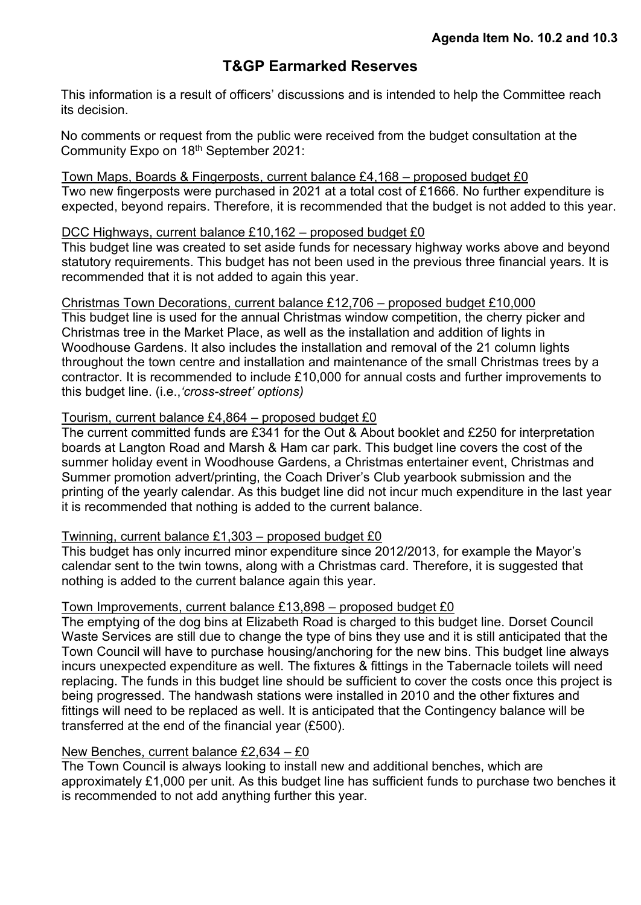### **T&GP Earmarked Reserves**

<span id="page-10-0"></span>This information is a result of officers' discussions and is intended to help the Committee reach its decision.

No comments or request from the public were received from the budget consultation at the Community Expo on 18th September 2021:

Town Maps, Boards & Fingerposts, current balance £4,168 – proposed budget £0 Two new fingerposts were purchased in 2021 at a total cost of £1666. No further expenditure is expected, beyond repairs. Therefore, it is recommended that the budget is not added to this year.

### DCC Highways, current balance £10,162 – proposed budget £0

This budget line was created to set aside funds for necessary highway works above and beyond statutory requirements. This budget has not been used in the previous three financial years. It is recommended that it is not added to again this year.

Christmas Town Decorations, current balance £12,706 – proposed budget £10,000

This budget line is used for the annual Christmas window competition, the cherry picker and Christmas tree in the Market Place, as well as the installation and addition of lights in Woodhouse Gardens. It also includes the installation and removal of the 21 column lights throughout the town centre and installation and maintenance of the small Christmas trees by a contractor. It is recommended to include £10,000 for annual costs and further improvements to this budget line. (i.e.,*'cross-street' options)*

### Tourism, current balance £4,864 – proposed budget £0

The current committed funds are £341 for the Out & About booklet and £250 for interpretation boards at Langton Road and Marsh & Ham car park. This budget line covers the cost of the summer holiday event in Woodhouse Gardens, a Christmas entertainer event, Christmas and Summer promotion advert/printing, the Coach Driver's Club yearbook submission and the printing of the yearly calendar. As this budget line did not incur much expenditure in the last year it is recommended that nothing is added to the current balance.

### Twinning, current balance £1,303 – proposed budget £0

This budget has only incurred minor expenditure since 2012/2013, for example the Mayor's calendar sent to the twin towns, along with a Christmas card. Therefore, it is suggested that nothing is added to the current balance again this year.

### Town Improvements, current balance £13,898 – proposed budget £0

The emptying of the dog bins at Elizabeth Road is charged to this budget line. Dorset Council Waste Services are still due to change the type of bins they use and it is still anticipated that the Town Council will have to purchase housing/anchoring for the new bins. This budget line always incurs unexpected expenditure as well. The fixtures & fittings in the Tabernacle toilets will need replacing. The funds in this budget line should be sufficient to cover the costs once this project is being progressed. The handwash stations were installed in 2010 and the other fixtures and fittings will need to be replaced as well. It is anticipated that the Contingency balance will be transferred at the end of the financial year (£500).

### New Benches, current balance £2,634 – £0

The Town Council is always looking to install new and additional benches, which are approximately £1,000 per unit. As this budget line has sufficient funds to purchase two benches it is recommended to not add anything further this year.